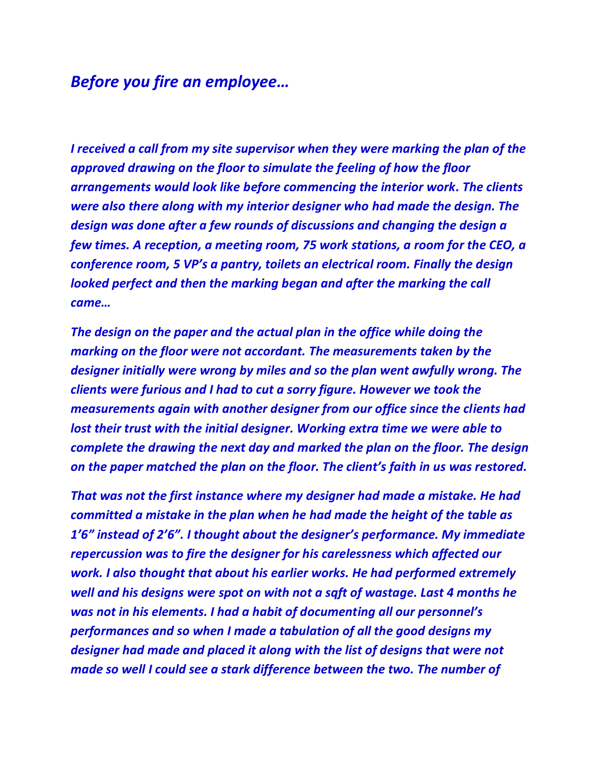## *Before you fire an employee…*

*I received a call from my site supervisor when they were marking the plan of the approved drawing on the floor to simulate the feeling of how the floor arrangements would look like before commencing the interior work. The clients were also there along with my interior designer who had made the design. The design was done after a few rounds of discussions and changing the design a few times. A reception, a meeting room, 75 work stations, a room for the CEO, a conference room, 5 VP's a pantry, toilets an electrical room. Finally the design looked perfect and then the marking began and after the marking the call came…*

*The design on the paper and the actual plan in the office while doing the marking on the floor were not accordant. The measurements taken by the designer initially were wrong by miles and so the plan went awfully wrong. The clients were furious and I had to cut a sorry figure. However we took the measurements again with another designer from our office since the clients had lost their trust with the initial designer. Working extra time we were able to complete the drawing the next day and marked the plan on the floor. The design on the paper matched the plan on the floor. The client's faith in us was restored.*

*That was not the first instance where my designer had made a mistake. He had committed a mistake in the plan when he had made the height of the table as 1'6" instead of 2'6". I thought about the designer's performance. My immediate repercussion was to fire the designer for his carelessness which affected our work. I also thought that about his earlier works. He had performed extremely well and his designs were spot on with not a sqft of wastage. Last 4 months he was not in his elements. I had a habit of documenting all our personnel's performances and so when I made a tabulation of all the good designs my designer had made and placed it along with the list of designs that were not made so well I could see a stark difference between the two. The number of*